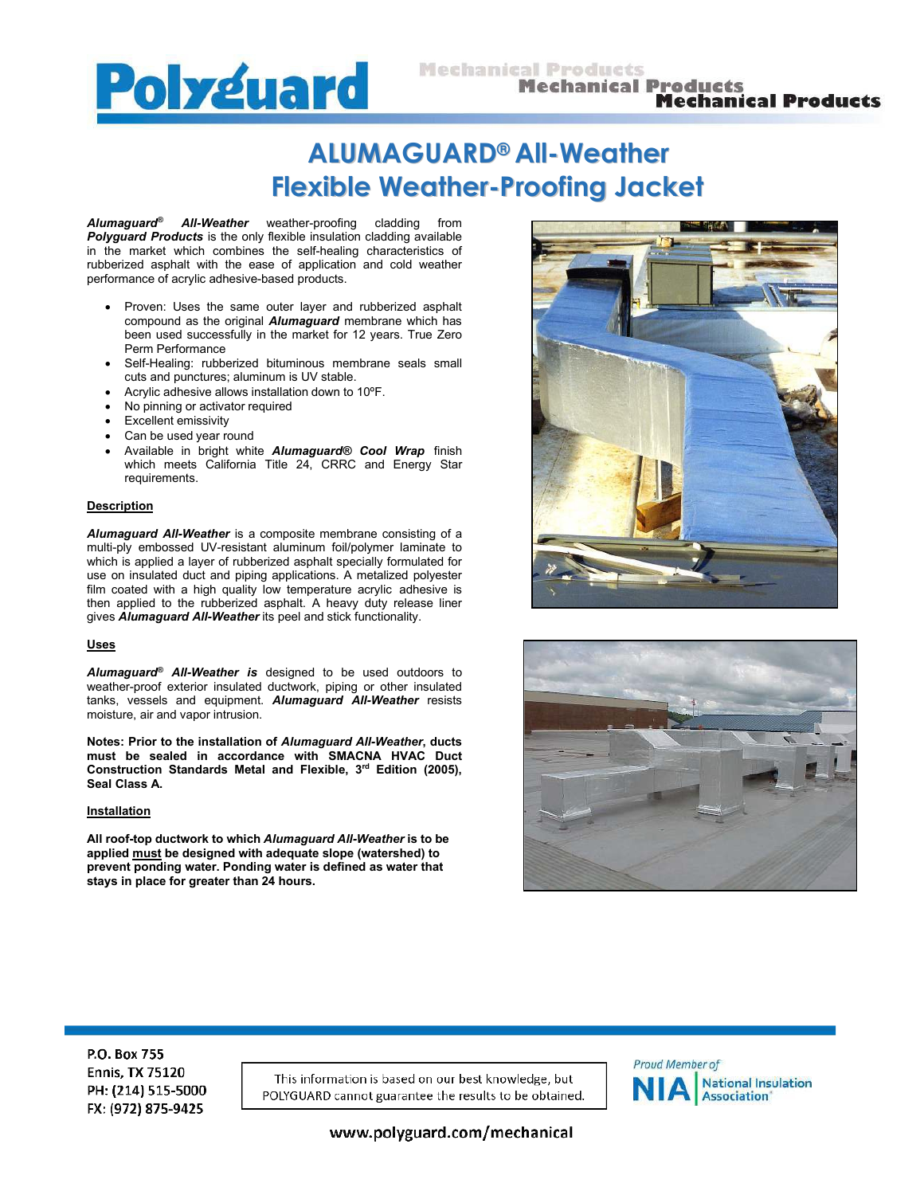

# **ALUMAGUARD®All-Weather Flexible Weather-Proofing Jacket**

*Alumaguard® All-Weather* weather-proofing cladding from *Polyguard Products* is the only flexible insulation cladding available in the market which combines the self-healing characteristics of rubberized asphalt with the ease of application and cold weather performance of acrylic adhesive-based products.

- Proven: Uses the same outer layer and rubberized asphalt compound as the original *Alumaguard* membrane which has been used successfully in the market for 12 years. True Zero Perm Performance
- Self-Healing: rubberized bituminous membrane seals small cuts and punctures; aluminum is UV stable.
- Acrylic adhesive allows installation down to 10ºF.
- No pinning or activator required
- Excellent emissivity
- Can be used year round
- Available in bright white *Alumaguard® Cool Wrap* finish which meets California Title 24, CRRC and Energy Star requirements.

## **Description**

*Alumaguard All-Weather* is a composite membrane consisting of a multi-ply embossed UV-resistant aluminum foil/polymer laminate to which is applied a layer of rubberized asphalt specially formulated for use on insulated duct and piping applications. A metalized polyester film coated with a high quality low temperature acrylic adhesive is then applied to the rubberized asphalt. A heavy duty release liner gives *Alumaguard All-Weather* its peel and stick functionality.

## **Uses**

*Alumaguard® All-Weather is* designed to be used outdoors to weather-proof exterior insulated ductwork, piping or other insulated tanks, vessels and equipment. *Alumaguard All-Weather* resists moisture, air and vapor intrusion.

**Notes: Prior to the installation of** *Alumaguard All-Weather***, ducts must be sealed in accordance with SMACNA HVAC Duct Construction Standards Metal and Flexible, 3rd Edition (2005), Seal Class A.**

## **Installation**

**All roof-top ductwork to which** *Alumaguard All-Weather* **is to be applied must be designed with adequate slope (watershed) to prevent ponding water. Ponding water is defined as water that stays in place for greater than 24 hours.**





P.O. Box 755 **Ennis, TX 75120** PH: (214) 515-5000 FX: (972) 875-9425

This information is based on our best knowledge, but POLYGUARD cannot guarantee the results to be obtained.